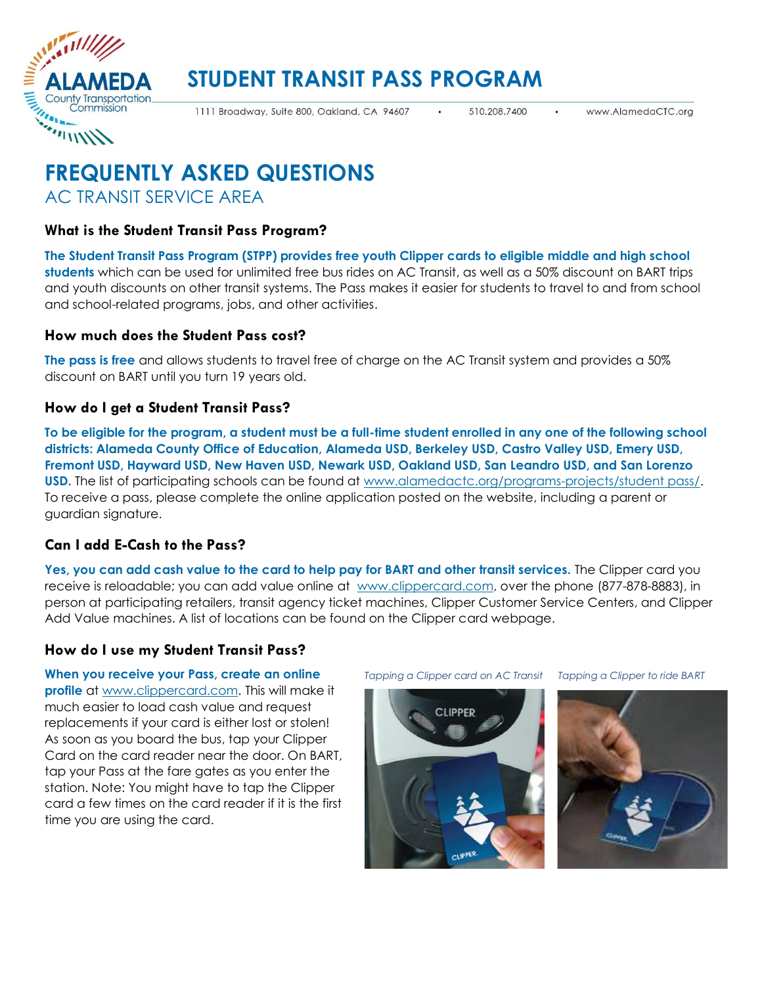

# **STUDENT TRANSIT PASS PROGRAM**

1111 Broadway, Suite 800, Oakland, CA 94607

510.208.7400

# **FREQUENTLY ASKED QUESTIONS** AC TRANSIT SERVICE AREA

# **What is the Student Transit Pass Program?**

**The Student Transit Pass Program (STPP) provides free youth Clipper cards to eligible middle and high school students** which can be used for unlimited free bus rides on AC Transit, as well as a 50% discount on BART trips and youth discounts on other transit systems. The Pass makes it easier for students to travel to and from school and school-related programs, jobs, and other activities.

# **How much does the Student Pass cost?**

**The pass is free** and allows students to travel free of charge on the AC Transit system and provides a 50% discount on BART until you turn 19 years old.

### **How do I get a Student Transit Pass?**

**To be eligible for the program, a student must be a full-time student enrolled in any one of the following school districts: Alameda County Office of Education, Alameda USD, Berkeley USD, Castro Valley USD, Emery USD, Fremont USD, Hayward USD, New Haven USD, Newark USD, Oakland USD, San Leandro USD, and San Lorenzo USD.** The list of participating schools can be found at [www.alamedactc.org/programs-projects/student pass/.](https://www.alamedactc.org/programs-projects/studentpass/) To receive a pass, please complete the online application posted on the website, including a parent or guardian signature.

# **Can I add E-Cash to the Pass?**

**Yes, you can add cash value to the card to help pay for BART and other transit services.** The Clipper card you receive is reloadable; you can add value online at [www.clippercard.com,](http://www.clipper.com/) over the phone (877-878-8883), in person at participating retailers, transit agency ticket machines, Clipper Customer Service Centers, and Clipper Add Value machines. A list of locations can be found on the Clipper card webpage.

# **How do I use my Student Transit Pass?**

**When you receive your Pass, create an online profile** at [www.clippercard.com.](http://www.clipper.com/) This will make it much easier to load cash value and request replacements if your card is either lost or stolen! As soon as you board the bus, tap your Clipper Card on the card reader near the door. On BART, tap your Pass at the fare gates as you enter the station. Note: You might have to tap the Clipper card a few times on the card reader if it is the first time you are using the card.

*Tapping a Clipper card on AC Transit Tapping a Clipper to ride BART*